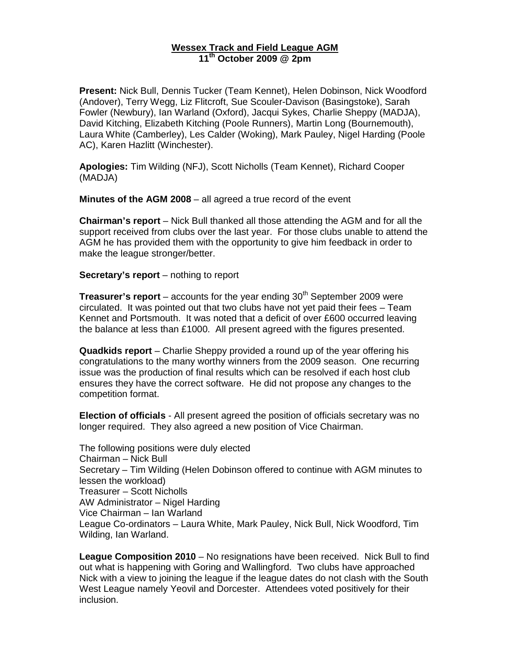## **Wessex Track and Field League AGM 11th October 2009 @ 2pm**

**Present:** Nick Bull, Dennis Tucker (Team Kennet), Helen Dobinson, Nick Woodford (Andover), Terry Wegg, Liz Flitcroft, Sue Scouler-Davison (Basingstoke), Sarah Fowler (Newbury), Ian Warland (Oxford), Jacqui Sykes, Charlie Sheppy (MADJA), David Kitching, Elizabeth Kitching (Poole Runners), Martin Long (Bournemouth), Laura White (Camberley), Les Calder (Woking), Mark Pauley, Nigel Harding (Poole AC), Karen Hazlitt (Winchester).

**Apologies:** Tim Wilding (NFJ), Scott Nicholls (Team Kennet), Richard Cooper (MADJA)

**Minutes of the AGM 2008** – all agreed a true record of the event

**Chairman's report** – Nick Bull thanked all those attending the AGM and for all the support received from clubs over the last year. For those clubs unable to attend the AGM he has provided them with the opportunity to give him feedback in order to make the league stronger/better.

**Secretary's report** – nothing to report

**Treasurer's report** – accounts for the year ending 30<sup>th</sup> September 2009 were circulated. It was pointed out that two clubs have not yet paid their fees – Team Kennet and Portsmouth. It was noted that a deficit of over £600 occurred leaving the balance at less than £1000. All present agreed with the figures presented.

**Quadkids report** – Charlie Sheppy provided a round up of the year offering his congratulations to the many worthy winners from the 2009 season. One recurring issue was the production of final results which can be resolved if each host club ensures they have the correct software. He did not propose any changes to the competition format.

**Election of officials** - All present agreed the position of officials secretary was no longer required. They also agreed a new position of Vice Chairman.

The following positions were duly elected Chairman – Nick Bull Secretary – Tim Wilding (Helen Dobinson offered to continue with AGM minutes to lessen the workload) Treasurer – Scott Nicholls AW Administrator – Nigel Harding Vice Chairman – Ian Warland League Co-ordinators – Laura White, Mark Pauley, Nick Bull, Nick Woodford, Tim Wilding, Ian Warland.

**League Composition 2010** – No resignations have been received. Nick Bull to find out what is happening with Goring and Wallingford. Two clubs have approached Nick with a view to joining the league if the league dates do not clash with the South West League namely Yeovil and Dorcester. Attendees voted positively for their inclusion.